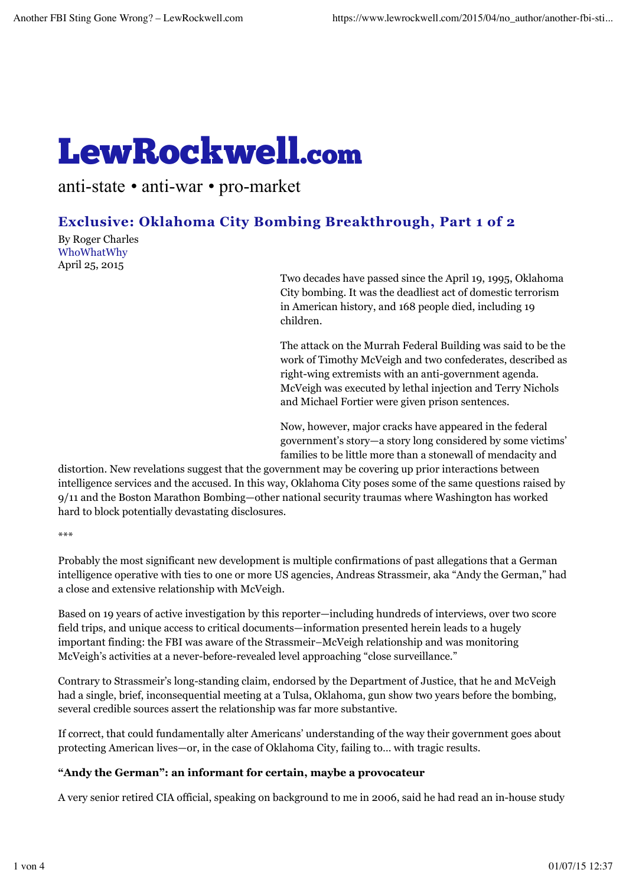# LewRockwell.com

anti-state *•* anti-war *•* pro-market

# **Exclusive: Oklahoma City Bombing Breakthrough, Part 1 of 2**

By Roger Charles WhoWhatWhy April 25, 2015

Two decades have passed since the April 19, 1995, Oklahoma City bombing. It was the deadliest act of domestic terrorism in American history, and 168 people died, including 19 children.

The attack on the Murrah Federal Building was said to be the work of Timothy McVeigh and two confederates, described as right-wing extremists with an anti-government agenda. McVeigh was executed by lethal injection and Terry Nichols and Michael Fortier were given prison sentences.

Now, however, major cracks have appeared in the federal government's story—a story long considered by some victims' families to be little more than a stonewall of mendacity and

distortion. New revelations suggest that the government may be covering up prior interactions between intelligence services and the accused. In this way, Oklahoma City poses some of the same questions raised by 9/11 and the Boston Marathon Bombing—other national security traumas where Washington has worked hard to block potentially devastating disclosures.

\*\*\*

Probably the most significant new development is multiple confirmations of past allegations that a German intelligence operative with ties to one or more US agencies, Andreas Strassmeir, aka "Andy the German," had a close and extensive relationship with McVeigh.

Based on 19 years of active investigation by this reporter—including hundreds of interviews, over two score field trips, and unique access to critical documents—information presented herein leads to a hugely important finding: the FBI was aware of the Strassmeir–McVeigh relationship and was monitoring McVeigh's activities at a never-before-revealed level approaching "close surveillance."

Contrary to Strassmeir's long-standing claim, endorsed by the Department of Justice, that he and McVeigh had a single, brief, inconsequential meeting at a Tulsa, Oklahoma, gun show two years before the bombing, several credible sources assert the relationship was far more substantive.

If correct, that could fundamentally alter Americans' understanding of the way their government goes about protecting American lives—or, in the case of Oklahoma City, failing to… with tragic results.

## **"Andy the German": an informant for certain, maybe a provocateur**

A very senior retired CIA official, speaking on background to me in 2006, said he had read an in-house study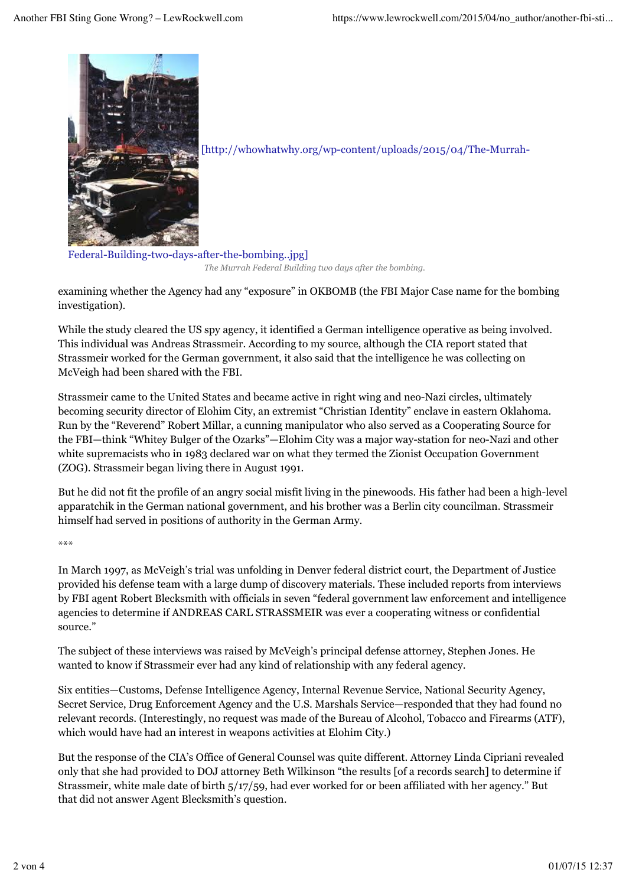

[http://whowhatwhy.org/wp-content/uploads/2015/04/The-Murrah-

Federal-Building-two-days-after-the-bombing..jpg] *The Murrah Federal Building two days after the bombing.*

examining whether the Agency had any "exposure" in OKBOMB (the FBI Major Case name for the bombing investigation).

While the study cleared the US spy agency, it identified a German intelligence operative as being involved. This individual was Andreas Strassmeir. According to my source, although the CIA report stated that Strassmeir worked for the German government, it also said that the intelligence he was collecting on McVeigh had been shared with the FBI.

Strassmeir came to the United States and became active in right wing and neo-Nazi circles, ultimately becoming security director of Elohim City, an extremist "Christian Identity" enclave in eastern Oklahoma. Run by the "Reverend" Robert Millar, a cunning manipulator who also served as a Cooperating Source for the FBI—think "Whitey Bulger of the Ozarks"—Elohim City was a major way-station for neo-Nazi and other white supremacists who in 1983 declared war on what they termed the Zionist Occupation Government (ZOG). Strassmeir began living there in August 1991.

But he did not fit the profile of an angry social misfit living in the pinewoods. His father had been a high-level apparatchik in the German national government, and his brother was a Berlin city councilman. Strassmeir himself had served in positions of authority in the German Army.

\*\*\*

In March 1997, as McVeigh's trial was unfolding in Denver federal district court, the Department of Justice provided his defense team with a large dump of discovery materials. These included reports from interviews by FBI agent Robert Blecksmith with officials in seven "federal government law enforcement and intelligence agencies to determine if ANDREAS CARL STRASSMEIR was ever a cooperating witness or confidential source."

The subject of these interviews was raised by McVeigh's principal defense attorney, Stephen Jones. He wanted to know if Strassmeir ever had any kind of relationship with any federal agency.

Six entities—Customs, Defense Intelligence Agency, Internal Revenue Service, National Security Agency, Secret Service, Drug Enforcement Agency and the U.S. Marshals Service—responded that they had found no relevant records. (Interestingly, no request was made of the Bureau of Alcohol, Tobacco and Firearms (ATF), which would have had an interest in weapons activities at Elohim City.)

But the response of the CIA's Office of General Counsel was quite different. Attorney Linda Cipriani revealed only that she had provided to DOJ attorney Beth Wilkinson "the results [of a records search] to determine if Strassmeir, white male date of birth 5/17/59, had ever worked for or been affiliated with her agency." But that did not answer Agent Blecksmith's question.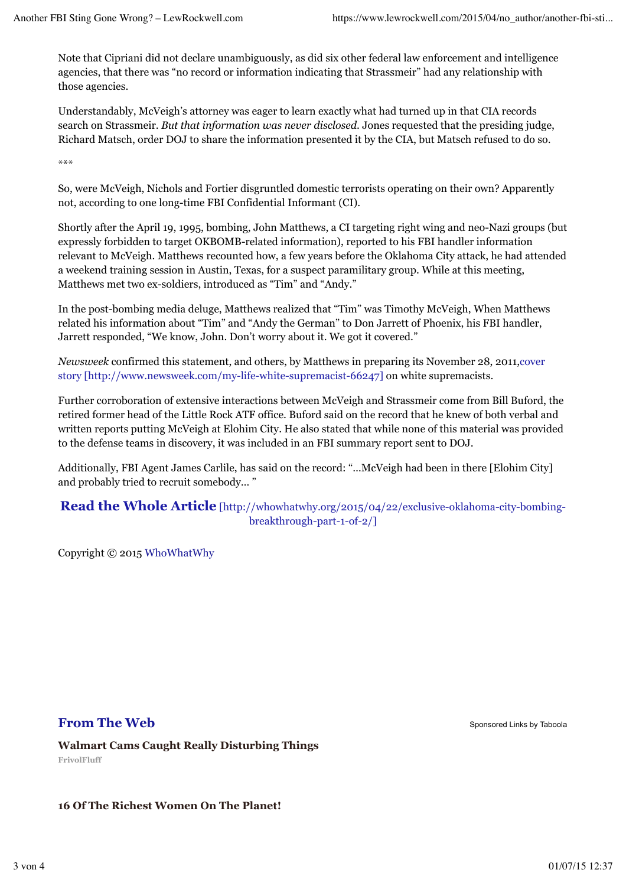Note that Cipriani did not declare unambiguously, as did six other federal law enforcement and intelligence agencies, that there was "no record or information indicating that Strassmeir" had any relationship with those agencies.

Understandably, McVeigh's attorney was eager to learn exactly what had turned up in that CIA records search on Strassmeir. *But that information was never disclosed*. Jones requested that the presiding judge, Richard Matsch, order DOJ to share the information presented it by the CIA, but Matsch refused to do so.

\*\*\*

So, were McVeigh, Nichols and Fortier disgruntled domestic terrorists operating on their own? Apparently not, according to one long-time FBI Confidential Informant (CI).

Shortly after the April 19, 1995, bombing, John Matthews, a CI targeting right wing and neo-Nazi groups (but expressly forbidden to target OKBOMB-related information), reported to his FBI handler information relevant to McVeigh. Matthews recounted how, a few years before the Oklahoma City attack, he had attended a weekend training session in Austin, Texas, for a suspect paramilitary group. While at this meeting, Matthews met two ex-soldiers, introduced as "Tim" and "Andy."

In the post-bombing media deluge, Matthews realized that "Tim" was Timothy McVeigh, When Matthews related his information about "Tim" and "Andy the German" to Don Jarrett of Phoenix, his FBI handler, Jarrett responded, "We know, John. Don't worry about it. We got it covered."

*Newsweek* confirmed this statement, and others, by Matthews in preparing its November 28, 2011,cover story [http://www.newsweek.com/my-life-white-supremacist-66247] on white supremacists.

Further corroboration of extensive interactions between McVeigh and Strassmeir come from Bill Buford, the retired former head of the Little Rock ATF office. Buford said on the record that he knew of both verbal and written reports putting McVeigh at Elohim City. He also stated that while none of this material was provided to the defense teams in discovery, it was included in an FBI summary report sent to DOJ.

Additionally, FBI Agent James Carlile, has said on the record: "…McVeigh had been in there [Elohim City] and probably tried to recruit somebody… "

### **Read the Whole Article** [http://whowhatwhy.org/2015/04/22/exclusive-oklahoma-city-bombingbreakthrough-part-1-of-2/]

Copyright © 2015 WhoWhatWhy

# **From The Web** Sponsored Links by Taboola

**Walmart Cams Caught Really Disturbing Things FrivolFluff**

#### **16 Of The Richest Women On The Planet!**